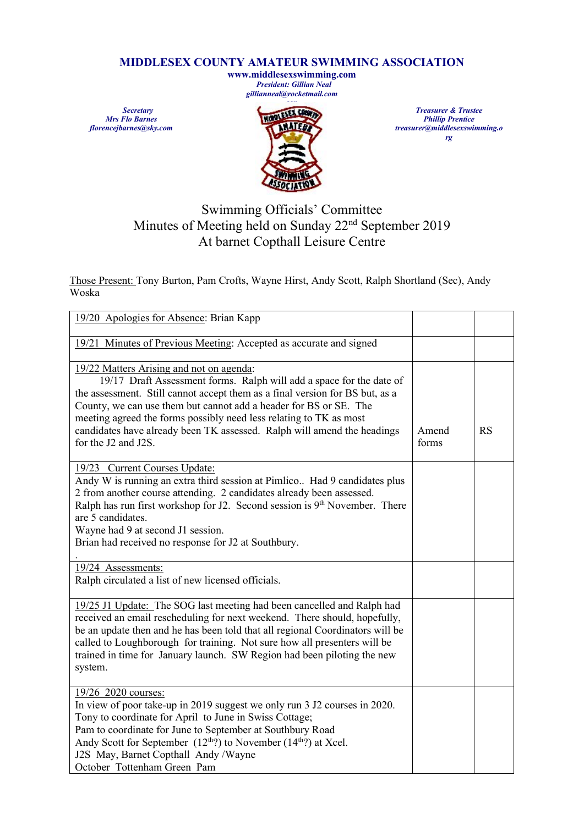## **MIDDLESEX COUNTY AMATEUR SWIMMING ASSOCIATION**

**www.middlesexswimming.com** *President: Gillian Neal gillianneal@rocketmail.com*

*Secretary Mrs Flo Barnes florencejbarnes@sky.com*



*Treasurer & Trustee Phillip Prentice treasurer@middlesexswimming.o rg*

## Swimming Officials' Committee Minutes of Meeting held on Sunday 22<sup>nd</sup> September 2019 At barnet Copthall Leisure Centre

Those Present: Tony Burton, Pam Crofts, Wayne Hirst, Andy Scott, Ralph Shortland (Sec), Andy Woska

| 19/20 Apologies for Absence: Brian Kapp                                                                                                                                                                                                                                                                                                                                                                                                       |                |    |
|-----------------------------------------------------------------------------------------------------------------------------------------------------------------------------------------------------------------------------------------------------------------------------------------------------------------------------------------------------------------------------------------------------------------------------------------------|----------------|----|
| 19/21 Minutes of Previous Meeting: Accepted as accurate and signed                                                                                                                                                                                                                                                                                                                                                                            |                |    |
| 19/22 Matters Arising and not on agenda:<br>19/17 Draft Assessment forms. Ralph will add a space for the date of<br>the assessment. Still cannot accept them as a final version for BS but, as a<br>County, we can use them but cannot add a header for BS or SE. The<br>meeting agreed the forms possibly need less relating to TK as most<br>candidates have already been TK assessed. Ralph will amend the headings<br>for the J2 and J2S. | Amend<br>forms | RS |
| 19/23 Current Courses Update:<br>Andy W is running an extra third session at Pimlico Had 9 candidates plus<br>2 from another course attending. 2 candidates already been assessed.<br>Ralph has run first workshop for J2. Second session is 9 <sup>th</sup> November. There<br>are 5 candidates.<br>Wayne had 9 at second J1 session.<br>Brian had received no response for J2 at Southbury.                                                 |                |    |
| 19/24 Assessments:<br>Ralph circulated a list of new licensed officials.                                                                                                                                                                                                                                                                                                                                                                      |                |    |
| 19/25 J1 Update: The SOG last meeting had been cancelled and Ralph had<br>received an email rescheduling for next weekend. There should, hopefully,<br>be an update then and he has been told that all regional Coordinators will be<br>called to Loughborough for training. Not sure how all presenters will be<br>trained in time for January launch. SW Region had been piloting the new<br>system.                                        |                |    |
| 19/26 2020 courses:<br>In view of poor take-up in 2019 suggest we only run 3 J2 courses in 2020.<br>Tony to coordinate for April to June in Swiss Cottage;<br>Pam to coordinate for June to September at Southbury Road<br>Andy Scott for September (12 <sup>th</sup> ?) to November (14 <sup>th</sup> ?) at Xcel.<br>J2S May, Barnet Copthall Andy /Wayne<br>October Tottenham Green Pam                                                     |                |    |